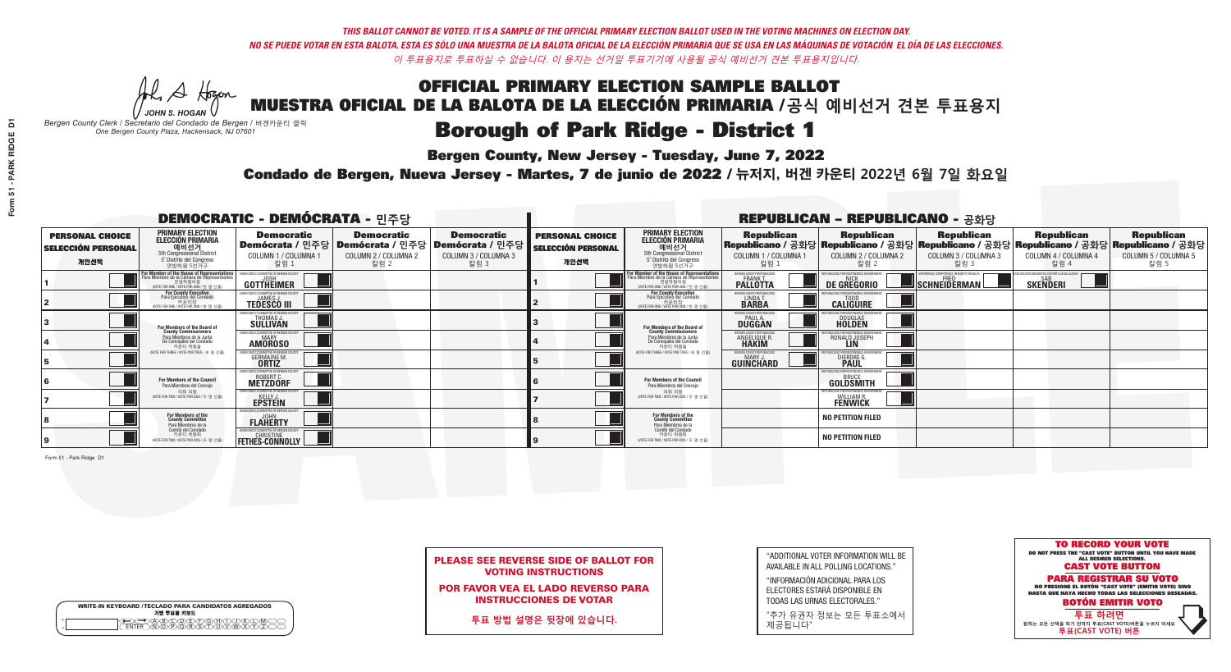A Hogen *JOHN S. HOGAN*

|   | <b>WRITE-IN KEYBOARD /TECLADO PARA CANDIDATOS AGREGADOS</b><br>기명 투표용 키보드 |
|---|---------------------------------------------------------------------------|
| o | .)B)C)DE)F)G)H)                                                           |
| o | <u>እጅአል አል</u>                                                            |

### **Borough of Park Ridge - District 1**

**Bergen County, New Jersey - Tuesday, June 7, 2022** 

*Bergen County Clerk / Secretario del Condado de Bergen /* 버겐카운티 클럭 *One Bergen County Plaza, Hackensack, NJ 07601*



PLEASE SEE REVERSE SIDE OF BALLOT FOR VOTING INSTRUCTIONS

POR FAVOR VEA EL LADO REVERSO PARA INSTRUCCIONES DE VOTAR

**투표 방법 설명은 뒷장에 있습니다.**

| "ADDITIONAL VOTER INFORMATION WILL BE |
|---------------------------------------|
| AVAILABLE IN ALL POLLING LOCATIONS."  |

"INFORMACIÓN ADICIONAL PARA LOS ELECTORES ESTARÁ DISPONIBLE EN TODAS LAS URNAS ELECTORALES."

"추가 유권자 정보는 모든 투표소에서 제공됩니다"

Condado de Bergen, Nueva Jersey - Martes, 7 de junio de 2022 / 뉴저지, 버겐 카운티 2022년 6월 7일 화요일 *One Bergen County Plaza, Hackensack, NJ 07601*

|                                                             |                                                                                                                                             | <b>DEMOCRATIC - DEMÓCRATA - 민주당</b>                                        |                                                   |                                                                                                        |                                                             |                                                                                                                                               |                                                              | <b>REPUBLICAN - REPUBLICANO - 공화당</b>                                                                                                          |                                                         |                                                            |                                                   |
|-------------------------------------------------------------|---------------------------------------------------------------------------------------------------------------------------------------------|----------------------------------------------------------------------------|---------------------------------------------------|--------------------------------------------------------------------------------------------------------|-------------------------------------------------------------|-----------------------------------------------------------------------------------------------------------------------------------------------|--------------------------------------------------------------|------------------------------------------------------------------------------------------------------------------------------------------------|---------------------------------------------------------|------------------------------------------------------------|---------------------------------------------------|
| <b>PERSONAL CHOICE</b><br><b>SELECCIÓN PERSONAL</b><br>개인선택 | <b>PRIMARY ELECTION</b><br><b>ELECCIÓN PRIMARIA</b><br>예비선거<br>5th Congressional District<br>5° Distrito del Congreso<br>연방하원 5선거구          | <b>Democratic</b><br>COLUMN 1 / COLUMNA 1<br>칼럼 :                          | <b>Democratic</b><br>COLUMN 2 / COLUMNA 2<br>칼럼 2 | <b>Democratic</b><br>│Demócrata / 민주당│Demócrata / 민주당│Demócrata / 민주당┃<br>COLUMN 3 / COLUMNA 3<br>칼럼 3 | <b>PERSONAL CHOICE</b><br><b>SELECCIÓN PERSONAL</b><br>개인선택 | <b>PRIMARY ELECTION</b><br>ELECCIÓN PRIMARIA<br>예비선거<br>5th Congressional District<br>5° Distrito del Congreso<br>연방하원 5선거구                   | <b>Republican</b><br>COLUMN 1 / COLUMNA 1<br>칼럼              | <b>Republican</b><br>Republicano / 공화당 Republicano / 공화당 Republicano / 공화당 Republicano / 공화당 Republicano / 공화당<br>COLUMN 2 / COLUMNA 2<br>칼럼 2 | <b>Republican</b><br>COLUMN 3 / COLUMNA 3<br>칼럼 3       | <b>Republican</b><br>COLUMN 4 / COLUMNA 4<br>칼럼 4          | <b>Republican</b><br>COLUMN 5 / COLUMNA 5<br>칼럼 5 |
|                                                             | or Member of the House of Representatives<br>ara Miembro de la Cámara de Representantes<br>연방하원의원<br>(VOTE FOR ONE / VOTE POR UNO / 한 명 선출) | <b>GOTTHEIMER</b>                                                          |                                                   |                                                                                                        |                                                             | For Member of the House of Representatives<br>Para Miembro de la Cámara de Representantes<br>연방하원의원<br>(VOTE FOR ONE / VOTE POR UNO / 한 명 선출) | BERGEN COUNTY REPUBLICAN<br><b>PALLOTTA</b>                  | DE GREGORIO                                                                                                                                    | PERIENCE, COMPETENCE, INTEGRITY, RESULT<br>SCHNEIDERMAN | VACCINE MANDATES, DEPORT ILLEGAL ALIENS<br><b>SKENDERI</b> |                                                   |
|                                                             | <b>For County Executive</b><br>Para Ejecutivo del Condado<br>. 카운티장<br>(VOTE FOR ONE / VOTE POR UNO / 한 명 선출)                               | EMOCRATIC COMMITTEE OF BERGEN COUNTY<br><b>TEDESCO III</b>                 |                                                   |                                                                                                        |                                                             | For County Executive<br>Para Ejecutivo del Condado<br>카운티장<br>(VOTE FOR ONE / VOTE POR UNO / 한 명 선출)                                          | BERGEN COUNTY REPUBLICAN<br>LINDA T.                         | <b>CALIGUIRE</b>                                                                                                                               |                                                         |                                                            |                                                   |
|                                                             | For Members of the Board of<br>County Commissioners                                                                                         | MOCRATIC COMMITTEE OF BERGEN COUNTY<br>THOMAS J.                           |                                                   |                                                                                                        |                                                             | For Members of the Board of<br>County Commissioners                                                                                           | ERGEN COUNTY REPUBLICAN<br><b>DUGGAN</b>                     | <b>DOUGLAS</b>                                                                                                                                 |                                                         |                                                            |                                                   |
|                                                             | Para Miembros de la Junta<br>De Concejales del Condado<br>카운티 위원들                                                                           | MOCRATIC COMMITTEE OF BERGEN COUNTY<br><b>MARY</b><br><b>AMOROSO</b>       |                                                   |                                                                                                        |                                                             | Para Miembros de la Junta<br>De Concejales del Condado<br>카우티 위원들                                                                             | <b>RGEN COUNTY REPUBLICAN</b><br>ANGELIQUE R<br><b>HAKIM</b> | RONALD JOSEPH                                                                                                                                  |                                                         |                                                            |                                                   |
|                                                             | NOTE FOR THREE / VOTE POR TRES / 세 명 선출                                                                                                     | ATIC COMMITTEE OF BERGEN COUN<br><b>GERMAINE M.</b>                        |                                                   |                                                                                                        |                                                             | (VOTE FOR THREE / VOTE POR TRES / 세 명 선출)                                                                                                     | ERGEN COUNTY REPUBLICANS<br>MARY J<br>GUINCHARD              | <b>DIERDRE G</b><br><b>PAUL</b>                                                                                                                |                                                         |                                                            |                                                   |
|                                                             | For Members of the Council<br>Para Miembros del Conceio                                                                                     | MOCRATIC COMMITTEE OF BERGEN COUNT:<br><b>ROBERT C.</b><br><b>METZDORF</b> |                                                   |                                                                                                        |                                                             | For Members of the Council<br>Para Miembros del Conceio                                                                                       |                                                              | PUBLICANS FOR RESPONSIBLE GOVERNMENT<br>GOLDSMITH                                                                                              |                                                         |                                                            |                                                   |
|                                                             | 의회 의원<br>(VOTE FOR TWO / VOTE POR DOS / 두 명 선출)                                                                                             | <b>EMOCRATIC COMMITTEE OF BERGEN COUNT</b><br><b>EPSTEIN</b>               |                                                   |                                                                                                        |                                                             | 의회 의원<br>NOTE FOR TWO / VOTE POR DOS / 두 명 선출)                                                                                                |                                                              | PUBLICANS FOR RESPONSIBLE GOVERNME!<br><b>WILLIAM R.</b><br>FENWICK                                                                            |                                                         |                                                            |                                                   |
|                                                             | For Members of the<br>County Committee<br>Para Miembros de la                                                                               | MOCRATIC COMMITTEE OF RERGEN<br><b>FLAHERTY</b>                            |                                                   |                                                                                                        |                                                             | For Members of the<br>County Committee<br>Para Miembros de la<br>Comité del Condado                                                           |                                                              | <b>NO PETITION FILED</b>                                                                                                                       |                                                         |                                                            |                                                   |
|                                                             | Comité del Condado<br>카운티 위원회<br>NOTE FOR TWO / VOTE POR DOS / 두 명 선출)                                                                      | EMOCRATIC COMMITTEE OF BERGEN COUNT                                        |                                                   |                                                                                                        |                                                             | 카운티 위원회<br>NOTE FOR TWO / VOTE POR DOS / 두 명 선출)                                                                                              |                                                              | <b>NO PETITION FILED</b>                                                                                                                       |                                                         |                                                            |                                                   |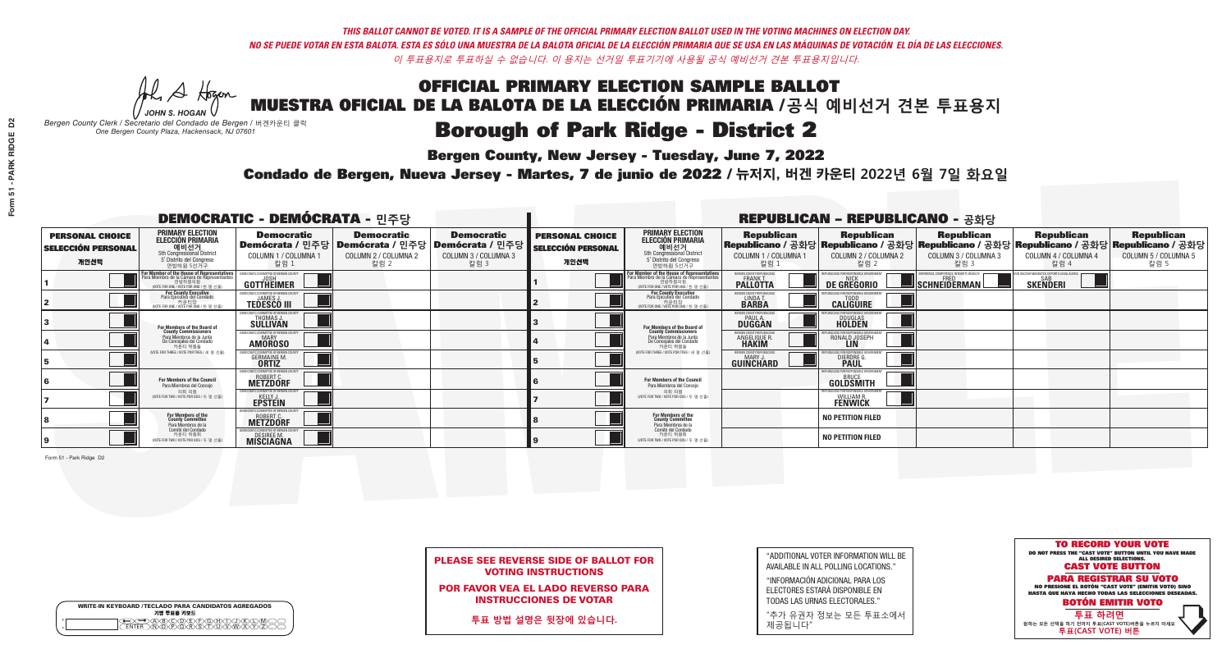A Hogen

| <b>WRITE-IN KEYBOARD /TECLADO PARA CANDIDATOS AGREGADOS</b><br>기명 투표용 키보드 |
|---------------------------------------------------------------------------|
| .)(B)C)(D)(E)(F)(G)(H)(T)(<br><u>እቅነሽነጅ የአገ</u>                           |

### **Borough of Park Ridge - District 2**

**Bergen County, New Jersey - Tuesday, June 7, 2022** 

*JOHN S. HOGAN Bergen County Clerk / Secretario del Condado de Bergen /* 버겐카운티 클럭 *One Bergen County Plaza, Hackensack, NJ 07601*



|  |                            | <b>PLEASE SEE REVERSE SIDE OF BALLOT FOR</b> |  |
|--|----------------------------|----------------------------------------------|--|
|  | <b>VOTING INSTRUCTIONS</b> |                                              |  |

POR FAVOR VEA EL LADO REVERSO PARA INSTRUCCIONES DE VOTAR

**투표 방법 설명은 뒷장에 있습니다.**

| "ADDITIONAL VOTER INFORMATION WILL BE |
|---------------------------------------|
| AVAILABLE IN ALL POLLING LOCATIONS."  |

"INFORMACIÓN ADICIONAL PARA LOS ELECTORES ESTARÁ DISPONIBLE EN TODAS LAS URNAS ELECTORALES."

"추가 유권자 정보는 모든 투표소에서 제공됩니다"

Condado de Bergen, Nueva Jersey - Martes, 7 de junio de 2022 / 뉴저지, 버겐 카운티 2022년 6월 7일 화요일 *One Bergen County Plaza, Hackensack, NJ 07601*

|                                                             |                                                                                                                                             | <b>DEMOCRATIC - DEMÓCRATA - 민주당</b>                                                      |                                                   |                                                                                                        |                                                             |                                                                                                                                               |                                                              | <b>REPUBLICAN - REPUBLICANO - 공화당</b>                                |                                                                                                                                                |                                                             |                                                   |
|-------------------------------------------------------------|---------------------------------------------------------------------------------------------------------------------------------------------|------------------------------------------------------------------------------------------|---------------------------------------------------|--------------------------------------------------------------------------------------------------------|-------------------------------------------------------------|-----------------------------------------------------------------------------------------------------------------------------------------------|--------------------------------------------------------------|----------------------------------------------------------------------|------------------------------------------------------------------------------------------------------------------------------------------------|-------------------------------------------------------------|---------------------------------------------------|
| <b>PERSONAL CHOICE</b><br><b>SELECCIÓN PERSONAL</b><br>개인선택 | <b>PRIMARY ELECTION</b><br><b>ELECCIÓN PRIMARIA</b><br>예비선거<br>5th Congressional District<br>5° Distrito del Congreso<br>연방하원 5선거구          | <b>Democratic</b><br>COLUMN 1 / COLUMNA 1<br>칼럼 :                                        | <b>Democratic</b><br>COLUMN 2 / COLUMNA 2<br>칼럼 2 | <b>Democratic</b><br>Demócrata / 민주당 Demócrata / 민주당 Demócrata / 민주당 D<br>COLUMN 3 / COLUMNA 3<br>칼럼 3 | <b>PERSONAL CHOICE</b><br><b>SELECCIÓN PERSONAL</b><br>개인선택 | <b>PRIMARY ELECTION</b><br>ELECCIÓN PRIMARIA<br>예비선거<br>5th Congressional District<br>5° Distrito del Congreso<br>연방하원 5선거구                   | <b>Republican</b><br>COLUMN 1 / COLUMNA 1<br>칼럼              | <b>Republican</b><br>COLUMN 2 / COLUMNA 2<br>칼럼 2                    | <b>Republican</b><br>Republicano / 공화당 Republicano / 공화당 Republicano / 공화당 Republicano / 공화당 Republicano / 공화당<br>COLUMN 3 / COLUMNA 3<br>칼럼 3 | <b>Republican</b><br>COLUMN 4 / COLUMNA 4<br>칼럼 4           | <b>Republican</b><br>COLUMN 5 / COLUMNA 5<br>칼럼 5 |
|                                                             | or Member of the House of Representatives<br>ara Miembro de la Cámara de Representantes<br>연방하원의원<br>(VOTE FOR ONE / VOTE POR UNO / 한 명 선출) | <b>GOTTHEIMER</b>                                                                        |                                                   |                                                                                                        |                                                             | For Member of the House of Representatives<br>Para Miembro de la Cámara de Representantes<br>연방하원의원<br>(VOTE FOR ONE / VOTE POR UNO / 한 명 선출) | BERGEN COUNTY REPUBLICAN<br><b>PALLOTTA</b>                  | DE GREGORIO                                                          | PERIENCE, COMPETENCE, INTEGRITY, RESULTS<br>SCHNEIDERMAN                                                                                       | VACCINE MANDATES, DEPORT ILLEGAL ALIENS.<br><b>SKENDERI</b> |                                                   |
|                                                             | For County Executive<br>Para Ejecutivo del Condado<br>가운티장<br>(VOTE FOR ONE / VOTE POR UNO / 한 명 선출)                                        | <b>EMOCRATIC COMMITTEE OF BERGEN COUNT</b><br><b>TEDESCO III</b>                         |                                                   |                                                                                                        |                                                             | For County Executive<br>Para Ejecutivo del Condado<br>카운티장<br>(VOTE FOR ONE / VOTE POR UNO / 한 명 선출)                                          | BERGEN COUNTY REPUBLICAN<br>LINDA T.                         | <b>CALIGUIRE</b>                                                     |                                                                                                                                                |                                                             |                                                   |
|                                                             | For Members of the Board of<br>County Commissioners                                                                                         | <b><i>MOCRATIC COMMITTEE OF BERGEN COUNTY</i></b><br><b>THOMAS J.</b><br><b>SULLIVAN</b> |                                                   |                                                                                                        |                                                             | For Members of the Board of<br>County Commissioners                                                                                           | ERGEN COUNTY REPUBLICAN<br><b>DUGGAN</b>                     | <b>DOUGLAS</b>                                                       |                                                                                                                                                |                                                             |                                                   |
|                                                             | Para Miembros de la Junta<br>De Concejales del Condado<br>카운티 위원들                                                                           | MOCRATIC COMMITTEE OF BERGEN COUNTY<br><b>AMOROSO</b>                                    |                                                   |                                                                                                        |                                                             | Para Miembros de la Junta<br>De Concejales del Condado<br>카운티 위원들                                                                             | <b>RGEN COUNTY REPUBLICAN</b><br>ANGELIQUE R<br><b>HAKIM</b> | RONALD JOSEPH                                                        |                                                                                                                                                |                                                             |                                                   |
|                                                             | NOTE FOR THREE / VOTE POR TRES / 세 명 선출                                                                                                     | ATIC COMMITTEE OF BERGEN COUN<br><b>GERMAINE M.</b>                                      |                                                   |                                                                                                        |                                                             | (VOTE FOR THREE / VOTE POR TRES / 세 명 선출)                                                                                                     | ERGEN COUNTY REPUBLICANS<br>MARY J<br><b>GUINCHARD</b>       | S FOR RESPONSIBI E G<br><b>DIERDRE G</b><br><b>PAUL</b>              |                                                                                                                                                |                                                             |                                                   |
|                                                             | For Members of the Council<br>Para Miembros del Conceio                                                                                     | <b><i>AOCRATIC COMMITTEE OF BERGEN COUNTY</i></b><br><b>ROBERT C.</b><br>METZDORF        |                                                   |                                                                                                        |                                                             | For Members of the Council<br>Para Miembros del Conceio                                                                                       |                                                              | PUBLICANS FOR RESPONSIBLE GOVERNMENT<br>GOLDSMITH                    |                                                                                                                                                |                                                             |                                                   |
|                                                             | 의회 의원<br>(VOTE FOR TWO / VOTE POR DOS / 두 명 선출)                                                                                             | MOCRATIC COMMITTEE OF BERGEN COUNTY<br><b>EPSTEIN</b>                                    |                                                   |                                                                                                        |                                                             | 의회 의원<br>NOTE FOR TWO / VOTE POR DOS / 두 명 선출)                                                                                                |                                                              | PUBLICANS FOR RESPONSIBI E GOVERNMEI<br>WILLIAM R.<br><b>FENWICK</b> |                                                                                                                                                |                                                             |                                                   |
|                                                             | For Members of the<br>County Committee<br>Para Miembros de la                                                                               | ROBERT C.<br>METZDORF                                                                    |                                                   |                                                                                                        |                                                             | For Members of the<br>County Committee<br>Para Miembros de la<br>Comité del Condado                                                           |                                                              | <b>NO PETITION FILED</b>                                             |                                                                                                                                                |                                                             |                                                   |
|                                                             | Comité del Condado<br>카운티 위원회<br>(VOTE FOR TWO / VOTE POR DOS / 두 명 선출)                                                                     | MOCRATIC COMMITTEE OF BERGEN CI<br>DESIREE M.<br><b>MISCIAGNA</b>                        |                                                   |                                                                                                        |                                                             | 카운티 위원회<br>WOTE FOR TWO / VOTE POR DOS / 두 명 선출)                                                                                              |                                                              | <b>NO PETITION FILED</b>                                             |                                                                                                                                                |                                                             |                                                   |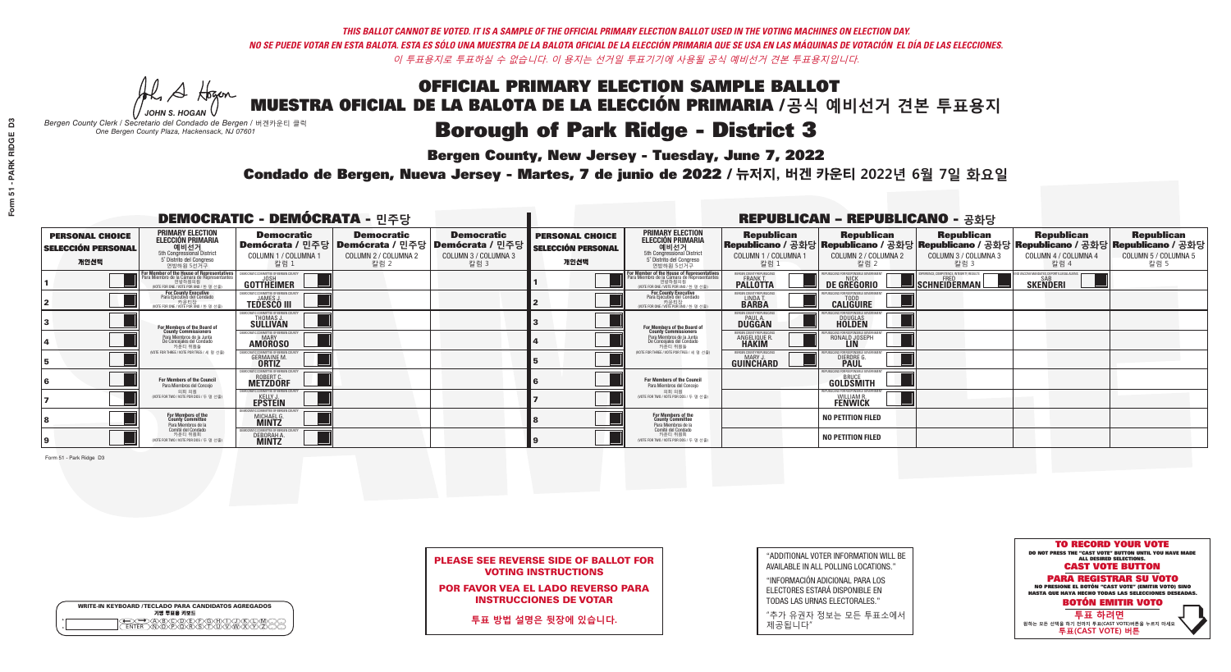A Hogen *JOHN S. HOGAN*

| <b>WRITE-IN KEYBOARD /TECLADO PARA CANDIDATOS AGREGADOS</b><br>기명 투표용 키보드 |  |
|---------------------------------------------------------------------------|--|
| YOODEYEYBAN<br>o<br>$\circ$                                               |  |

## **Borough of Park Ridge - District 3**

**Bergen County, New Jersey - Tuesday, June 7, 2022** 

*Bergen County Clerk / Secretario del Condado de Bergen /* 버겐카운티 클럭 *One Bergen County Plaza, Hackensack, NJ 07601*



|  | PLEASE SEE REVERSE SIDE OF BALLOT FOR |  |  |
|--|---------------------------------------|--|--|
|  | <b>VOTING INSTRUCTIONS</b>            |  |  |

POR FAVOR VEA EL LADO REVERSO PARA INSTRUCCIONES DE VOTAR

**투표 방법 설명은 뒷장에 있습니다.**

"ADDITIONAL VOTER INFORMATION WILL BE AVAILABLE IN ALL POLLING LOCATIONS."

"INFORMACIÓN ADICIONAL PARA LOS ELECTORES ESTARÁ DISPONIBLE EN TODAS LAS URNAS ELECTORALES."

"추가 유권자 정보는 모든 투표소에서 제공됩니다"

Condado de Bergen, Nueva Jersey - Martes, 7 de junio de 2022 / 뉴저지, 버겐 카운티 2022년 6월 7일 화요일 *One Bergen County Plaza, Hackensack, NJ 07601*

|                                                             |                                                                                                                                    | <b>DEMOCRATIC - DEMÓCRATA - 민주당</b>                                                                          |                                                   |                                                   |                                                             |                                                                                                                                               |                                                            | <b>REPUBLICAN - REPUBLICANO - 공화당</b>                                                                                                          |                                                   |                                                            |                                                   |
|-------------------------------------------------------------|------------------------------------------------------------------------------------------------------------------------------------|--------------------------------------------------------------------------------------------------------------|---------------------------------------------------|---------------------------------------------------|-------------------------------------------------------------|-----------------------------------------------------------------------------------------------------------------------------------------------|------------------------------------------------------------|------------------------------------------------------------------------------------------------------------------------------------------------|---------------------------------------------------|------------------------------------------------------------|---------------------------------------------------|
| <b>PERSONAL CHOICE</b><br><b>SELECCIÓN PERSONAL</b><br>개인선택 | <b>PRIMARY ELECTION</b><br><b>ELECCIÓN PRIMARIA</b><br>예비선거<br>5th Congressional District<br>5° Distrito del Congreso<br>연방하원 5선거구 | <b>Democratic</b><br>  Demócrata / 민주당   Demócrata / 민주당   Demócrata / 민주당  <br>COLUMN 1 / COLUMNA 1<br>칼럼 1 | <b>Democratic</b><br>COLUMN 2 / COLUMNA 2<br>칼럼 2 | <b>Democratic</b><br>COLUMN 3 / COLUMNA 3<br>칼럼 3 | <b>PERSONAL CHOICE</b><br><b>SELECCIÓN PERSONAL</b><br>개인선택 | <b>PRIMARY ELECTION</b><br>ELECCIÓN PRIMARIA<br>예비선거<br>5th Congressional District<br>5° Distrito del Congreso<br>연방하원 5선거구                   | <b>Republican</b><br>COLUMN 1 / COLUMNA 1<br>칼럼            | <b>Republican</b><br>Republicano / 공화당 Republicano / 공화당 Republicano / 공화당 Republicano / 공화당 Republicano / 공화당<br>COLUMN 2 / COLUMNA 2<br>칼럼 2 | <b>Republican</b><br>COLUMN 3 / COLUMNA 3<br>칼럼 3 | <b>Republican</b><br>COLUMN 4 / COLUMNA 4<br>칼럼 4          | <b>Republican</b><br>COLUMN 5 / COLUMNA 5<br>칼럼 5 |
|                                                             | For Member of the House of Representatives<br>Para Miembro de la Cámara de Representantes                                          | <b>GOTTHEIMER</b>                                                                                            |                                                   |                                                   |                                                             | For Member of the House of Representatives<br>Para Miembro de la Cámara de Representantes<br>연방하원의원<br>(VOTE FOR ONE / VOTE POR UNO / 한 명 선출) | BERGEN COUNTY REPUBLICAN<br><b>PALLOTTA</b>                | DE GREGORIO                                                                                                                                    | SCHNEIDERMAN                                      | VACCINE MANDATES, DEPORT ILLEGAL ALIENS<br><b>SKENDERI</b> |                                                   |
|                                                             | <b>For County Executive</b><br>Para Ejecutivo del Condado<br>가운티장<br>(VOTE FOR ONE / VOTE POR UNO / 한 명 선출)                        | EMOCRATIC COMMITTEE OF BERGEN COUNT<br><b>TEDESCO III</b>                                                    |                                                   |                                                   |                                                             | For County Executive<br>Para Ejecutivo del Condado<br>WOTE FOR ONE / VOTE POR UNO / 한 명 선출                                                    | BERGEN COUNTY REPUBLICAN<br>LINDA T.                       | <b>CALIGUIRE</b>                                                                                                                               |                                                   |                                                            |                                                   |
|                                                             | <b>For Members of the Board of<br/>County Commissioners</b>                                                                        | MOCRATIC COMMITTEE OF BERGEN COUNTY<br>THOMAS J.                                                             |                                                   |                                                   |                                                             | For Members of the Board of<br>County Commissioners                                                                                           | ERGEN COUNTY REPUBLICAN<br><b>PAUL A.</b><br><b>DUGGAN</b> | <b>DOUGLAS</b>                                                                                                                                 |                                                   |                                                            |                                                   |
|                                                             | Para Miembros de la Junta<br>De Concejales del Condado<br>카운티 위원들                                                                  | MOCRATIC COMMITTEE OF BERGEN COUNTY<br><b>AMOROSO</b>                                                        |                                                   |                                                   |                                                             | Para Miembros de la Junta<br>De Concejales del Condado<br>카운티 위원들                                                                             | ERGEN COUNTY REPUBLICAN<br>ANGELIQUE R<br><b>HAKIM</b>     | RONALD JOSEPH<br><b>LIN</b>                                                                                                                    |                                                   |                                                            |                                                   |
|                                                             | NOTE FOR THREE / VOTE POR TRES / 세 명 선출                                                                                            | TIC COMMITTEE OF BERGEN COUNT<br><b>GERMAINE M.</b>                                                          |                                                   |                                                   |                                                             | (VOTE FOR THREE / VOTE POR TRES / 세 명 선출)                                                                                                     | ERGEN COUNTY REPUBLICANS<br>MARY J<br>GUINCHARD            | <b>DIERDRE</b> G                                                                                                                               |                                                   |                                                            |                                                   |
|                                                             | <b>For Members of the Council</b><br>Para Miembros del Conceio                                                                     | MOCRATIC COMMITTEE OF BERGEN COUNTY<br><b>ROBERT C.</b><br><b>METZDORF</b>                                   |                                                   |                                                   |                                                             | For Members of the Council<br>Para Miembros del Conceio                                                                                       |                                                            | PUBLICANS FOR RESPONSIBLE GOVERNMENT<br><b>GOLDSMITH</b>                                                                                       |                                                   |                                                            |                                                   |
|                                                             | 의회 의원<br>(VOTE FOR TWO / VOTE POR DOS / 두 명 선출)                                                                                    | <b>EMOCRATIC COMMITTEE OF BERGEN COUNT</b><br><b>EPSTEIN</b>                                                 |                                                   |                                                   |                                                             | 의회 의원<br>NOTE FOR TWO / VOTE POR DOS / 두 명 선출)                                                                                                |                                                            | PUBLICANS FOR RESPONSIBLE GOVERNME!<br><b>WILLIAM R.</b><br>FENWICK                                                                            |                                                   |                                                            |                                                   |
|                                                             | For Members of the<br>County Committee<br>Para Miembros de la                                                                      | MICHAEL G.                                                                                                   |                                                   |                                                   |                                                             | For Members of the<br>County Committee<br>Para Miembros de la<br>Comité del Condado                                                           |                                                            | <b>NO PETITION FILED</b>                                                                                                                       |                                                   |                                                            |                                                   |
|                                                             | Comité del Condado<br>카운티 위원회<br>(VOTE FOR TWO / VOTE POR DOS / 두 명 선출)                                                            | <b>MOCRATIC COMMITTEE OF BERGEN CI</b><br>DEBORAH A.                                                         |                                                   |                                                   |                                                             | 카운티 위원회<br>(VOTE FOR TWO / VOTE POR DOS / 두 명 선출)                                                                                             |                                                            | <b>NO PETITION FILED</b>                                                                                                                       |                                                   |                                                            |                                                   |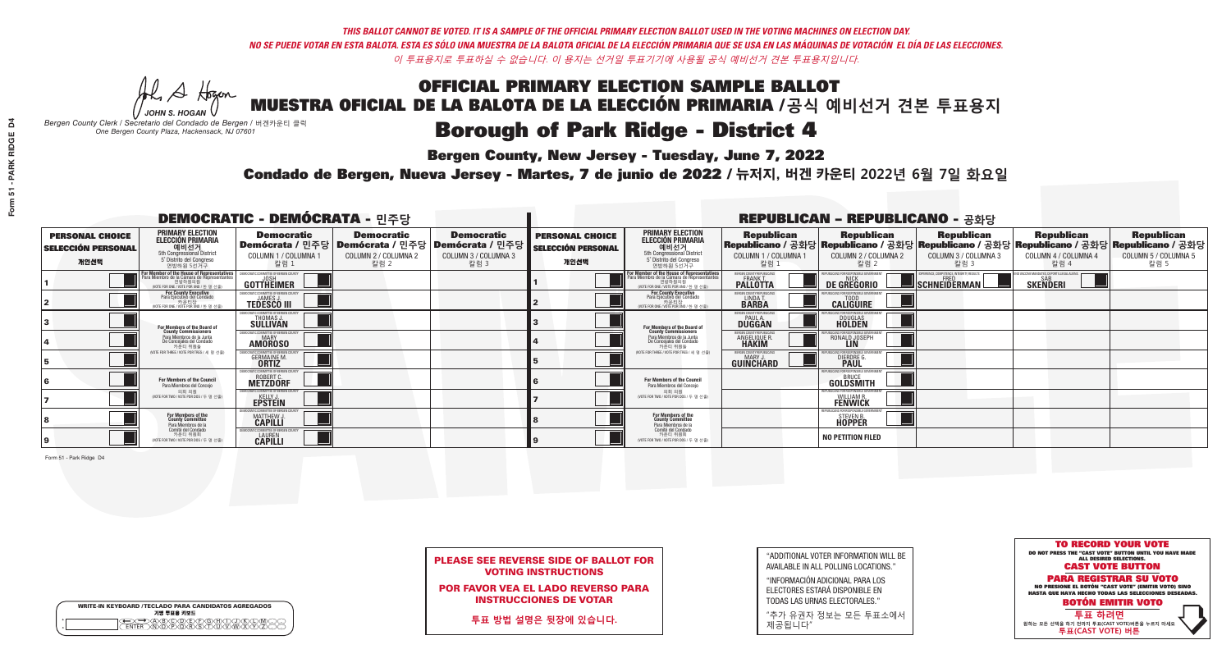A Hogen *JOHN S. HOGAN*

|   | <b>WRITE-IN KEYBOARD /TECLADO PARA CANDIDATOS AGREGADOS</b><br>기명 투표용 키보드 |
|---|---------------------------------------------------------------------------|
| o | .)B)C)DE)F)G)H)                                                           |
| o | <u>እጅአል አል</u>                                                            |

## **Borough of Park Ridge - District 4**

**Bergen County, New Jersey - Tuesday, June 7, 2022** 

*Bergen County Clerk / Secretario del Condado de Bergen /* 버겐카운티 클럭 *One Bergen County Plaza, Hackensack, NJ 07601*

Condado de Bergen, Nueva Jersey - Martes, 7 de junio de 2022 / 뉴저지, 버겐 카운티 2022년 6월 7일 화요일 *One Bergen County Plaza, Hackensack, NJ 07601*



PLEASE SEE REVERSE SIDE OF BALLOT FOR VOTING INSTRUCTIONS

POR FAVOR VEA EL LADO REVERSO PARA INSTRUCCIONES DE VOTAR

**투표 방법 설명은 뒷장에 있습니다.**

| "ADDITIONAL VOTER INFORMATION WILL BE |
|---------------------------------------|
| AVAILABLE IN ALL POLLING LOCATIONS."  |

"INFORMACIÓN ADICIONAL PARA LOS ELECTORES ESTARÁ DISPONIBLE EN TODAS LAS URNAS ELECTORALES."

"추가 유권자 정보는 모든 투표소에서 제공됩니다"

| <b>DEMOCRATIC - DEMÓCRATA - 민주당</b>                         |                                                                                                                                                                 |                                                                            |                                                   | <b>REPUBLICAN - REPUBLICANO - 공화당</b>                                                                  |                                                             |                                                                                                                                   |                                                                     |                                                                            |                                                                                                                                                |                                                           |                                                   |
|-------------------------------------------------------------|-----------------------------------------------------------------------------------------------------------------------------------------------------------------|----------------------------------------------------------------------------|---------------------------------------------------|--------------------------------------------------------------------------------------------------------|-------------------------------------------------------------|-----------------------------------------------------------------------------------------------------------------------------------|---------------------------------------------------------------------|----------------------------------------------------------------------------|------------------------------------------------------------------------------------------------------------------------------------------------|-----------------------------------------------------------|---------------------------------------------------|
| <b>PERSONAL CHOICE</b><br><b>SELECCIÓN PERSONAL</b><br>개인선택 | <b>PRIMARY ELECTION</b><br><b>ELECCIÓN PRIMARIA</b><br>예비선거<br>5th Congressional District<br>5° Distrito del Congreso<br>연방하원 5선거구                              | <b>Democratic</b><br>COLUMN 1 / COLUMNA 1<br>칼럼 1                          | <b>Democratic</b><br>COLUMN 2 / COLUMNA 2<br>칼럼 2 | <b>Democratic</b><br>│Demócrata / 민주당│Demócrata / 민주당│Demócrata / 민주당┃<br>COLUMN 3 / COLUMNA 3<br>칼럼 3 | <b>PERSONAL CHOICE</b><br><b>SELECCIÓN PERSONAL</b><br>개인선택 | <b>PRIMARY ELECTION</b><br>ELECCIÓN PRIMARIA<br>5th Congressional District<br>5° Distrito del Congreso<br>연방하원 5선거구               | <b>Republican</b><br>COLUMN 1 / COLUMNA 1<br>칼럼                     | <b>Republican</b><br>COLUMN 2 / COLUMNA 2<br>칼럼 2                          | <b>Republican</b><br>Republicano / 공화당 Republicano / 공화당 Republicano / 공화당 Republicano / 공화당 Republicano / 공화당<br>COLUMN 3 / COLUMNA 3<br>칼럼 3 | <b>Republican</b><br>COLUMN 4 / COLUMNA 4<br>칼럼 4         | <b>Republican</b><br>COLUMN 5 / COLUMNA 5<br>칼럼 5 |
|                                                             | F <b>or Member of the House of Representatives</b><br>Para Miembro de la Cámara de Representantes<br>현방하원의원<br>연방하원의원<br>(WOTE FOR ONE / VOTE POR UNO / 한 명 선출) | <b>GOTTHEIMER</b>                                                          |                                                   |                                                                                                        |                                                             | For Member of the House of Representatives<br>Para Miembro de la Cámara de Representantes<br>WOTE FOR ONE / VOTE POR UNO / 한 명 선출 | ERGEN COUNTY REPUBLICAN<br><b>PALLOTTA</b>                          | DE GREGORIO                                                                | PERIENCE, COMPETENCE, INTEGRITY, RESULT<br>$\blacksquare$ Schneiderman                                                                         | /ACCINE MANDATES, DEPORT ILLEGAL ALIEN<br><b>SKENDERI</b> |                                                   |
|                                                             | For County Executive<br>Para Ejecutivo del Condado<br>가운티장<br>(VOTE FOR ONE / VOTE POR UNO / 한 명 선출)                                                            | <b>TEDESCO III</b>                                                         |                                                   |                                                                                                        |                                                             | For County Executive<br>Para Ejecutivo del Condado<br>가운티장<br>(VOTE FOR ONE / VOTE POR UNO / 한 명 선출                               | BERGEN COUNTY REPUBLICAN<br>LINDA T.                                | <b>CALIGUIRE</b>                                                           |                                                                                                                                                |                                                           |                                                   |
|                                                             | <b>For Members of the Board of<br/>County Commissioners</b>                                                                                                     | MOCRATIC COMMITTEE OF BERGEN COUNT<br>THOMAS J.                            |                                                   |                                                                                                        |                                                             | For Members of the Board of<br>County Commissioners                                                                               | ERGEN COUNTY REPUBLICAN<br><b>PAUL A.</b><br><b>DUGGAN</b>          | <b>DOUGLAS</b>                                                             |                                                                                                                                                |                                                           |                                                   |
|                                                             | Para Miembros de la Junta<br>De Concejales del Condado<br>카우티 위원들                                                                                               | MOCRATIC COMMITTEE OF BERGEN COUNTY<br><b>MARY</b><br><b>AMOROSO</b>       |                                                   |                                                                                                        |                                                             | Para Miembros de la Junta<br>De Concejales del Condado<br>카우티 위원들                                                                 | <b>FRGEN COUNTY REPUBLICA</b><br><b>ANGELIQUE F</b><br><b>HAKIM</b> | RONALD JOSEPH                                                              |                                                                                                                                                |                                                           |                                                   |
|                                                             | NOTE FOR THREE / VOTE POR TRES / 세 명 선출)                                                                                                                        | <b>GERMAINE M.</b>                                                         |                                                   |                                                                                                        |                                                             | NOTE FOR THREE / VOTE POR TRES / 세 명 선출)                                                                                          | ERGEN COUNTY REPUBLICANS<br>MARY J<br>GUINCHARD                     | <b>DIERDRE</b> G                                                           |                                                                                                                                                |                                                           |                                                   |
|                                                             | <b>For Members of the Council</b><br>Para Miembros del Conceio                                                                                                  | MOCRATIC COMMITTEE OF BERGEN COUNTY<br><b>ROBERT C.</b><br><b>METZDORF</b> |                                                   |                                                                                                        |                                                             | <b>For Members of the Council</b><br>Para Miembros del Conceio                                                                    |                                                                     | PUBLICANS FOR RESPONSIBLE GOVERNMENT<br>GOLDSMITH                          |                                                                                                                                                |                                                           |                                                   |
|                                                             | 의회 의원<br>NOTE FOR TWO / VOTE POR DOS / 두 명 선출)                                                                                                                  | EMOCRATIC COMMITTEE OF BERGEN COUNTY<br><b>EPSTEIN</b>                     |                                                   |                                                                                                        |                                                             | 의회 의원<br>NOTE FOR TWO / VOTE POR DOS / 두 명 선출)                                                                                    |                                                                     | PUBLICANS FOR RESPONSIBLE GOVERNMEN<br><b>WILLIAM R.</b><br><b>FENWICK</b> |                                                                                                                                                |                                                           |                                                   |
|                                                             | For Members of the<br>County Committee<br>Para Miembros de la                                                                                                   | RATIC COMMITTEE OF BERGEN<br>MATTHEW J.                                    |                                                   |                                                                                                        |                                                             | For Members of the<br>County Committee<br>Para Miembros de la<br>Comité del Condado                                               |                                                                     | <b>STEVEN B</b><br><b>HOPPER</b>                                           |                                                                                                                                                |                                                           |                                                   |
|                                                             | Comité del Condado<br>카운티 위원회<br>(VOTE FOR TWO / VOTE POR DOS / 두 명 선출)                                                                                         | MOCRATIC COMMITTEE OF BERGEN COUNT<br><b>CAPILLI</b>                       |                                                   |                                                                                                        |                                                             | 카운티 위원회<br>(VOTE FOR TWO / VOTE POR DOS / 두 명 선출)                                                                                 |                                                                     | <b>NO PETITION FILED</b>                                                   |                                                                                                                                                |                                                           |                                                   |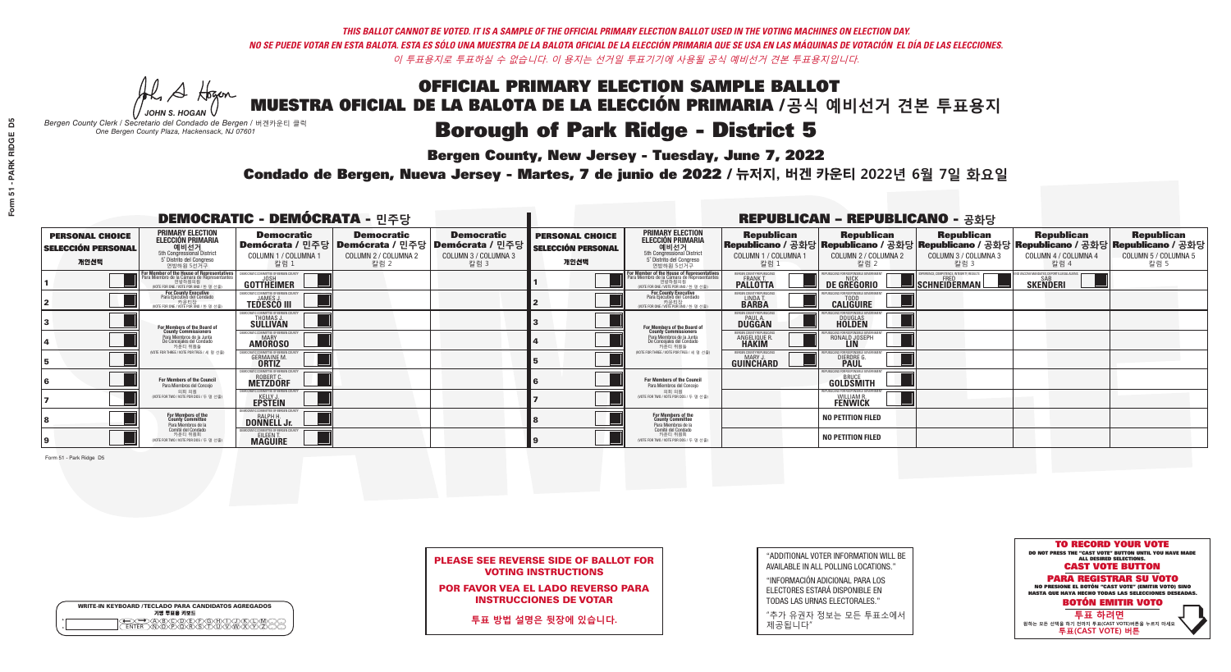A Hogen

| <b>WRITE-IN KEYBOARD /TECLADO PARA CANDIDATOS AGREGADOS</b><br>기명 투표용 키보드 |
|---------------------------------------------------------------------------|
| .)(B)C)(D)(E)(F)(G)(H)(T)(<br><u>እቅነሽነጅ የአገ</u>                           |

### **Borough of Park Ridge - District 5**

**Bergen County, New Jersey - Tuesday, June 7, 2022** 

*JOHN S. HOGAN Bergen County Clerk / Secretario del Condado de Bergen /* 버겐카운티 클럭 *One Bergen County Plaza, Hackensack, NJ 07601*



PLEASE SEE REVERSE SIDE OF BALLOT FOR VOTING INSTRUCTIONS

POR FAVOR VEA EL LADO REVERSO PARA INSTRUCCIONES DE VOTAR

**투표 방법 설명은 뒷장에 있습니다.**

"ADDITIONAL VOTER INFORMATION WILL BE AVAILABLE IN ALL POLLING LOCATIONS."

"INFORMACIÓN ADICIONAL PARA LOS ELECTORES ESTARÁ DISPONIBLE EN TODAS LAS URNAS ELECTORALES."

"추가 유권자 정보는 모든 투표소에서 제공됩니다"

Condado de Bergen, Nueva Jersey - Martes, 7 de junio de 2022 / 뉴저지, 버겐 카운티 2022년 6월 7일 화요일 *One Bergen County Plaza, Hackensack, NJ 07601*

| <b>DEMOCRATIC - DEMÓCRATA - 민주당</b>                         |                                                                                                                                             |                                                                            |                                                   | <b>REPUBLICAN - REPUBLICANO - 공화당</b>                                                                  |                                                             |                                                                                                                                               |                                                              |                                                                                                                                                |                                                         |                                                            |                                                   |
|-------------------------------------------------------------|---------------------------------------------------------------------------------------------------------------------------------------------|----------------------------------------------------------------------------|---------------------------------------------------|--------------------------------------------------------------------------------------------------------|-------------------------------------------------------------|-----------------------------------------------------------------------------------------------------------------------------------------------|--------------------------------------------------------------|------------------------------------------------------------------------------------------------------------------------------------------------|---------------------------------------------------------|------------------------------------------------------------|---------------------------------------------------|
| <b>PERSONAL CHOICE</b><br><b>SELECCIÓN PERSONAL</b><br>개인선택 | <b>PRIMARY ELECTION</b><br><b>ELECCIÓN PRIMARIA</b><br>예비선거<br>5th Congressional District<br>5° Distrito del Congreso<br>연방하원 5선거구          | <b>Democratic</b><br>COLUMN 1 / COLUMNA 1<br>칼럼 :                          | <b>Democratic</b><br>COLUMN 2 / COLUMNA 2<br>칼럼 2 | <b>Democratic</b><br>│Demócrata / 민주당│Demócrata / 민주당│Demócrata / 민주당┃<br>COLUMN 3 / COLUMNA 3<br>칼럼 3 | <b>PERSONAL CHOICE</b><br><b>SELECCIÓN PERSONAL</b><br>개인선택 | <b>PRIMARY ELECTION</b><br>ELECCIÓN PRIMARIA<br>예비선거<br>5th Congressional District<br>5° Distrito del Congreso<br>연방하원 5선거구                   | <b>Republican</b><br>COLUMN 1 / COLUMNA 1<br>칼럼              | <b>Republican</b><br>Republicano / 공화당 Republicano / 공화당 Republicano / 공화당 Republicano / 공화당 Republicano / 공화당<br>COLUMN 2 / COLUMNA 2<br>칼럼 2 | <b>Republican</b><br>COLUMN 3 / COLUMNA 3<br>칼럼 3       | <b>Republican</b><br>COLUMN 4 / COLUMNA 4<br>칼럼 4          | <b>Republican</b><br>COLUMN 5 / COLUMNA 5<br>칼럼 5 |
|                                                             | or Member of the House of Representatives<br>ara Miembro de la Cámara de Representantes<br>연방하원의원<br>(VOTE FOR ONE / VOTE POR UNO / 한 명 선출) | <b>GOTTHEIMER</b>                                                          |                                                   |                                                                                                        |                                                             | For Member of the House of Representatives<br>Para Miembro de la Cámara de Representantes<br>연방하원의원<br>(VOTE FOR ONE / VOTE POR UNO / 한 명 선출) | BERGEN COUNTY REPUBLICAN<br><b>PALLOTTA</b>                  | DE GREGORIO                                                                                                                                    | PERIENCE, COMPETENCE, INTEGRITY, RESULT<br>SCHNEIDERMAN | VACCINE MANDATES, DEPORT ILLEGAL ALIENS<br><b>SKENDERI</b> |                                                   |
|                                                             | <b>For County Executive</b><br>Para Ejecutivo del Condado<br>. 카운티장<br>(VOTE FOR ONE / VOTE POR UNO / 한 명 선출)                               | <b>EMOCRATIC COMMITTEE OF BERGEN COUNT</b><br><b>TEDESCO III</b>           |                                                   |                                                                                                        |                                                             | For County Executive<br>Para Ejecutivo del Condado<br>카운티장<br>(VOTE FOR ONE / VOTE POR UNO / 한 명 선출)                                          | BERGEN COUNTY REPUBLICAN<br>LINDA T.                         | <b>CALIGUIRE</b>                                                                                                                               |                                                         |                                                            |                                                   |
|                                                             | For Members of the Board of<br>County Commissioners                                                                                         | MOCRATIC COMMITTEE OF BERGEN COUNTY<br>THOMAS J.                           |                                                   |                                                                                                        |                                                             | For Members of the Board of<br>County Commissioners                                                                                           | ERGEN COUNTY REPUBLICAN<br><b>DUGGAN</b>                     | <b>DOUGLAS</b>                                                                                                                                 |                                                         |                                                            |                                                   |
|                                                             | Para Miembros de la Junta<br>De Concejales del Condado<br>카운티 위원들                                                                           | MOCRATIC COMMITTEE OF BERGEN COUNTY<br><b>MARY</b><br><b>AMOROSO</b>       |                                                   |                                                                                                        |                                                             | Para Miembros de la Junta<br>De Concejales del Condado<br>카우티 위원들                                                                             | <b>RGEN COUNTY REPUBLICAN</b><br>ANGELIQUE R<br><b>HAKIM</b> | RONALD JOSEPH                                                                                                                                  |                                                         |                                                            |                                                   |
|                                                             | NOTE FOR THREE / VOTE POR TRES / 세 명 선출                                                                                                     | ATIC COMMITTEE OF BERGEN COUN<br><b>GERMAINE M.</b>                        |                                                   |                                                                                                        |                                                             | (VOTE FOR THREE / VOTE POR TRES / 세 명 선출)                                                                                                     | ERGEN COUNTY REPUBLICANS<br>MARY J<br>GUINCHARD              | <b>DIERDRE G</b><br><b>PAUL</b>                                                                                                                |                                                         |                                                            |                                                   |
|                                                             | <b>For Members of the Council</b><br>Para Miembros del Conceio                                                                              | MOCRATIC COMMITTEE OF BERGEN COUNT:<br><b>ROBERT C.</b><br><b>METZDORF</b> |                                                   |                                                                                                        |                                                             | For Members of the Council<br>Para Miembros del Conceio                                                                                       |                                                              | PUBLICANS FOR RESPONSIBLE GOVERNMENT<br>GOLDSMITH                                                                                              |                                                         |                                                            |                                                   |
|                                                             | 의회 의원<br>(VOTE FOR TWO / VOTE POR DOS / 두 명 선출)                                                                                             | <b>EMOCRATIC COMMITTEE OF BERGEN COUNT</b><br><b>EPSTEIN</b>               |                                                   |                                                                                                        |                                                             | 의회 의원<br>NOTE FOR TWO / VOTE POR DOS / 두 명 선출)                                                                                                |                                                              | PUBLICANS FOR RESPONSIBLE GOVERNME!<br><b>WILLIAM R.</b><br>FENWICK                                                                            |                                                         |                                                            |                                                   |
|                                                             | For Members of the<br>County Committee<br>Para Miembros de la                                                                               | <b>DONNELL Jr.</b>                                                         |                                                   |                                                                                                        |                                                             | For Members of the<br>County Committee<br>Para Miembros de la<br>Comité del Condado                                                           |                                                              | <b>NO PETITION FILED</b>                                                                                                                       |                                                         |                                                            |                                                   |
|                                                             | Comité del Condado<br>카운티 위원회<br>(VOTE FOR TWO / VOTE POR DOS / 두 명 선출)                                                                     | <b>EMOCRATIC COMMITTEE OF BERGEN COUNT</b><br>EILEEN T.                    |                                                   |                                                                                                        |                                                             | 카운티 위원회<br>NOTE FOR TWO / VOTE POR DOS / 두 명 선출)                                                                                              |                                                              | <b>NO PETITION FILED</b>                                                                                                                       |                                                         |                                                            |                                                   |